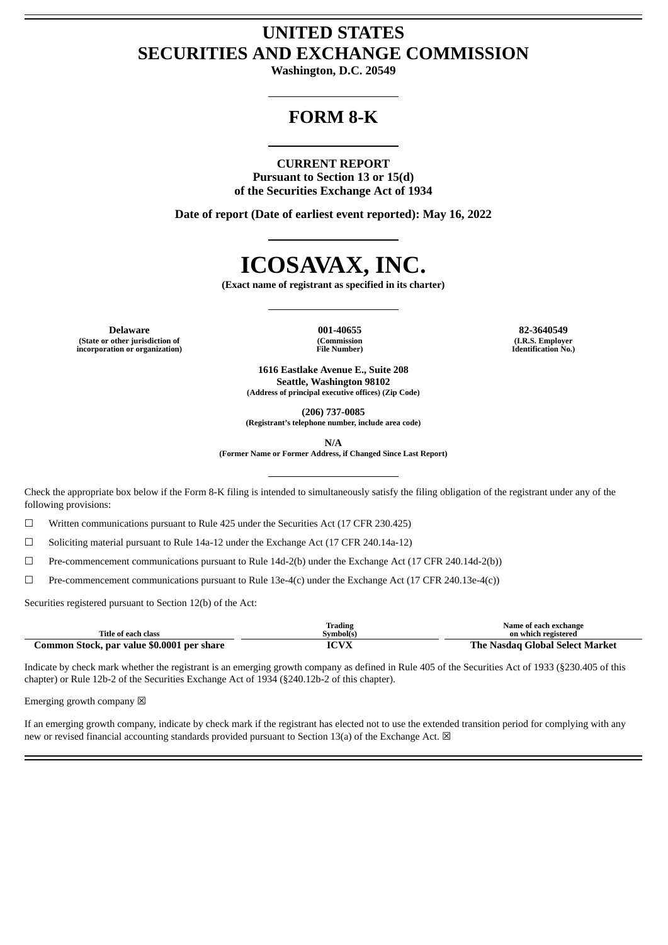# **UNITED STATES SECURITIES AND EXCHANGE COMMISSION**

**Washington, D.C. 20549**

## **FORM 8-K**

#### **CURRENT REPORT**

**Pursuant to Section 13 or 15(d) of the Securities Exchange Act of 1934**

**Date of report (Date of earliest event reported): May 16, 2022**

# **ICOSAVAX, INC.**

**(Exact name of registrant as specified in its charter)**

**Delaware 001-40655 82-3640549 (State or other jurisdiction of incorporation or organization)**

**(Commission File Number)**

**(I.R.S. Employer Identification No.)**

**1616 Eastlake Avenue E., Suite 208 Seattle, Washington 98102 (Address of principal executive offices) (Zip Code)**

**(206) 737-0085**

**(Registrant's telephone number, include area code)**

**N/A**

**(Former Name or Former Address, if Changed Since Last Report)**

Check the appropriate box below if the Form 8-K filing is intended to simultaneously satisfy the filing obligation of the registrant under any of the following provisions:

 $\Box$  Written communications pursuant to Rule 425 under the Securities Act (17 CFR 230.425)

☐ Soliciting material pursuant to Rule 14a-12 under the Exchange Act (17 CFR 240.14a-12)

 $\Box$  Pre-commencement communications pursuant to Rule 14d-2(b) under the Exchange Act (17 CFR 240.14d-2(b))

☐ Pre-commencement communications pursuant to Rule 13e-4(c) under the Exchange Act (17 CFR 240.13e-4(c))

Securities registered pursuant to Section 12(b) of the Act:

|                                            | Trading          | Name of each exchange           |
|--------------------------------------------|------------------|---------------------------------|
| Title of each class                        | Symbol(s)        | on which registered             |
| Common Stock, par value \$0.0001 per share | ICVIV<br>w<br>VЛ | The Nasdag Global Select Market |

Indicate by check mark whether the registrant is an emerging growth company as defined in Rule 405 of the Securities Act of 1933 (§230.405 of this chapter) or Rule 12b-2 of the Securities Exchange Act of 1934 (§240.12b-2 of this chapter).

Emerging growth company  $\boxtimes$ 

If an emerging growth company, indicate by check mark if the registrant has elected not to use the extended transition period for complying with any new or revised financial accounting standards provided pursuant to Section 13(a) of the Exchange Act.  $\boxtimes$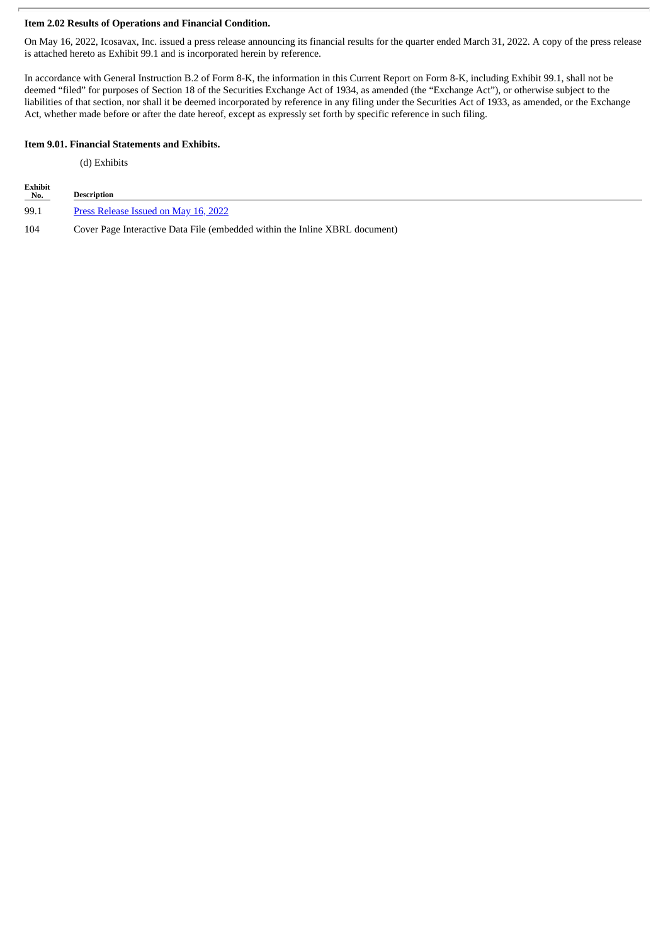#### **Item 2.02 Results of Operations and Financial Condition.**

On May 16, 2022, Icosavax, Inc. issued a press release announcing its financial results for the quarter ended March 31, 2022. A copy of the press release is attached hereto as Exhibit 99.1 and is incorporated herein by reference.

In accordance with General Instruction B.2 of Form 8-K, the information in this Current Report on Form 8-K, including Exhibit 99.1, shall not be deemed "filed" for purposes of Section 18 of the Securities Exchange Act of 1934, as amended (the "Exchange Act"), or otherwise subject to the liabilities of that section, nor shall it be deemed incorporated by reference in any filing under the Securities Act of 1933, as amended, or the Exchange Act, whether made before or after the date hereof, except as expressly set forth by specific reference in such filing.

#### **Item 9.01. Financial Statements and Exhibits.**

(d) Exhibits

| Exhibit<br>No. | <b>Description</b>                                                          |
|----------------|-----------------------------------------------------------------------------|
| 99.1           | Press Release Issued on May 16, 2022                                        |
| 104            | Cover Page Interactive Data File (embedded within the Inline XBRL document) |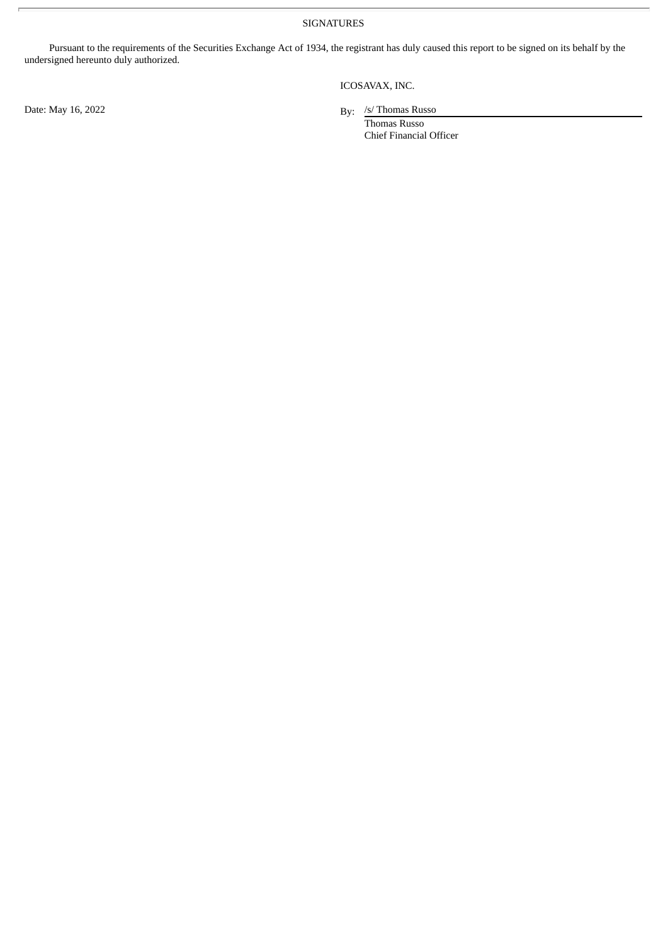SIGNATURES

Pursuant to the requirements of the Securities Exchange Act of 1934, the registrant has duly caused this report to be signed on its behalf by the undersigned hereunto duly authorized.

Date: May 16, 2022

ICOSAVAX, INC.

By: /s/ Thomas Russo

Thomas Russo Chief Financial Officer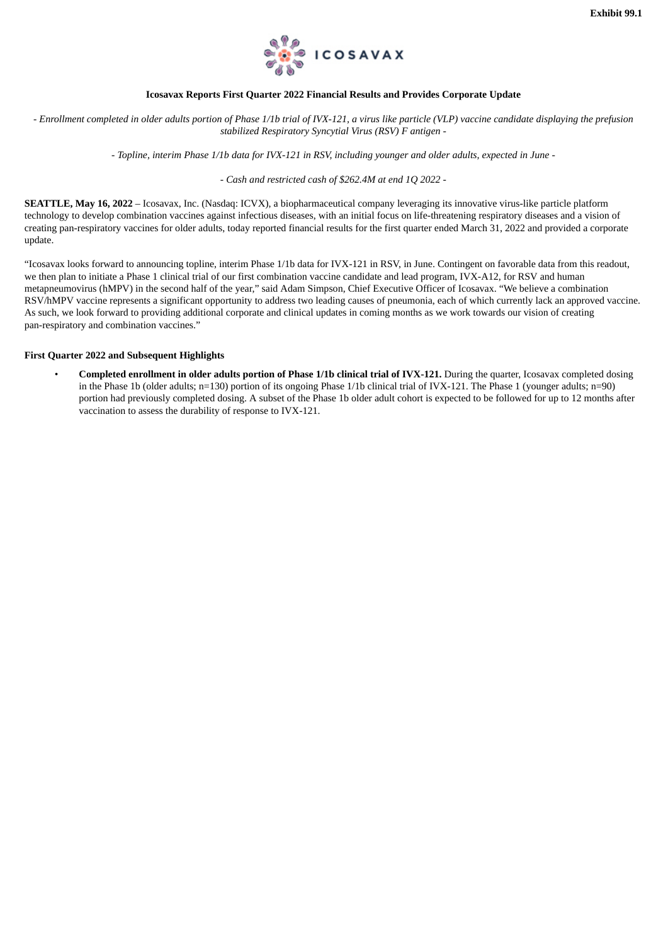

#### **Icosavax Reports First Quarter 2022 Financial Results and Provides Corporate Update**

<span id="page-3-0"></span>- Enrollment completed in older adults portion of Phase 1/1b trial of IVX-121, a virus like particle (VLP) vaccine candidate displaying the prefusion *stabilized Respiratory Syncytial Virus (RSV) F antigen -*

- Topline, interim Phase 1/1b data for IVX-121 in RSV, including younger and older adults, expected in June -

*- Cash and restricted cash of \$262.4M at end 1Q 2022 -*

**SEATTLE, May 16, 2022** – Icosavax, Inc. (Nasdaq: ICVX), a biopharmaceutical company leveraging its innovative virus-like particle platform technology to develop combination vaccines against infectious diseases, with an initial focus on life-threatening respiratory diseases and a vision of creating pan-respiratory vaccines for older adults, today reported financial results for the first quarter ended March 31, 2022 and provided a corporate update.

"Icosavax looks forward to announcing topline, interim Phase 1/1b data for IVX-121 in RSV, in June. Contingent on favorable data from this readout, we then plan to initiate a Phase 1 clinical trial of our first combination vaccine candidate and lead program, IVX-A12, for RSV and human metapneumovirus (hMPV) in the second half of the year," said Adam Simpson, Chief Executive Officer of Icosavax. "We believe a combination RSV/hMPV vaccine represents a significant opportunity to address two leading causes of pneumonia, each of which currently lack an approved vaccine. As such, we look forward to providing additional corporate and clinical updates in coming months as we work towards our vision of creating pan-respiratory and combination vaccines."

#### **First Quarter 2022 and Subsequent Highlights**

• **Completed enrollment in older adults portion of Phase 1/1b clinical trial of IVX-121.** During the quarter, Icosavax completed dosing in the Phase 1b (older adults; n=130) portion of its ongoing Phase 1/1b clinical trial of IVX-121. The Phase 1 (younger adults; n=90) portion had previously completed dosing. A subset of the Phase 1b older adult cohort is expected to be followed for up to 12 months after vaccination to assess the durability of response to IVX-121.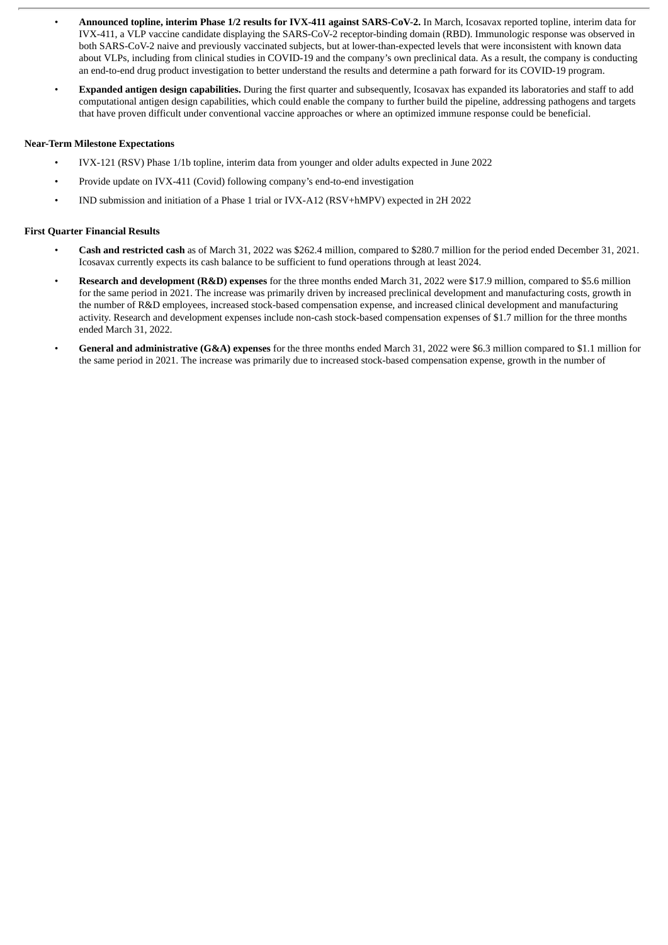- **Announced topline, interim Phase 1/2 results for IVX-411 against SARS-CoV-2.** In March, Icosavax reported topline, interim data for IVX-411, a VLP vaccine candidate displaying the SARS-CoV-2 receptor-binding domain (RBD). Immunologic response was observed in both SARS-CoV-2 naive and previously vaccinated subjects, but at lower-than-expected levels that were inconsistent with known data about VLPs, including from clinical studies in COVID-19 and the company's own preclinical data. As a result, the company is conducting an end-to-end drug product investigation to better understand the results and determine a path forward for its COVID-19 program.
- **Expanded antigen design capabilities.** During the first quarter and subsequently, Icosavax has expanded its laboratories and staff to add computational antigen design capabilities, which could enable the company to further build the pipeline, addressing pathogens and targets that have proven difficult under conventional vaccine approaches or where an optimized immune response could be beneficial.

#### **Near-Term Milestone Expectations**

- IVX-121 (RSV) Phase 1/1b topline, interim data from younger and older adults expected in June 2022
- Provide update on IVX-411 (Covid) following company's end-to-end investigation
- IND submission and initiation of a Phase 1 trial or IVX-A12 (RSV+hMPV) expected in 2H 2022

#### **First Quarter Financial Results**

- **Cash and restricted cash** as of March 31, 2022 was \$262.4 million, compared to \$280.7 million for the period ended December 31, 2021. Icosavax currently expects its cash balance to be sufficient to fund operations through at least 2024.
- **Research and development (R&D) expenses** for the three months ended March 31, 2022 were \$17.9 million, compared to \$5.6 million for the same period in 2021. The increase was primarily driven by increased preclinical development and manufacturing costs, growth in the number of R&D employees, increased stock-based compensation expense, and increased clinical development and manufacturing activity. Research and development expenses include non-cash stock-based compensation expenses of \$1.7 million for the three months ended March 31, 2022.
- **General and administrative (G&A) expenses** for the three months ended March 31, 2022 were \$6.3 million compared to \$1.1 million for the same period in 2021. The increase was primarily due to increased stock-based compensation expense, growth in the number of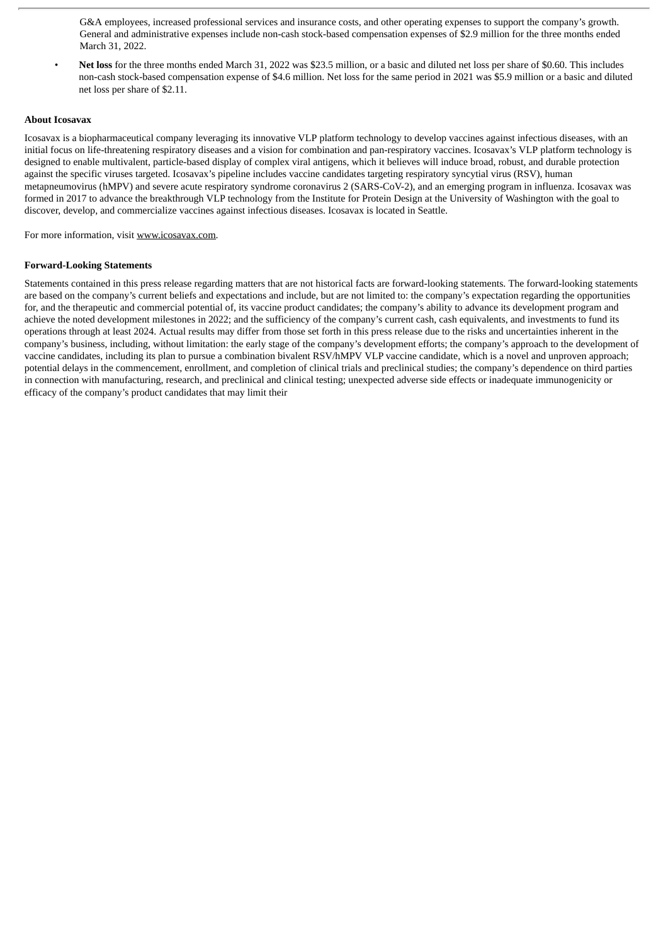G&A employees, increased professional services and insurance costs, and other operating expenses to support the company's growth. General and administrative expenses include non-cash stock-based compensation expenses of \$2.9 million for the three months ended March 31, 2022.

• **Net loss** for the three months ended March 31, 2022 was \$23.5 million, or a basic and diluted net loss per share of \$0.60. This includes non-cash stock-based compensation expense of \$4.6 million. Net loss for the same period in 2021 was \$5.9 million or a basic and diluted net loss per share of \$2.11.

#### **About Icosavax**

Icosavax is a biopharmaceutical company leveraging its innovative VLP platform technology to develop vaccines against infectious diseases, with an initial focus on life-threatening respiratory diseases and a vision for combination and pan-respiratory vaccines. Icosavax's VLP platform technology is designed to enable multivalent, particle-based display of complex viral antigens, which it believes will induce broad, robust, and durable protection against the specific viruses targeted. Icosavax's pipeline includes vaccine candidates targeting respiratory syncytial virus (RSV), human metapneumovirus (hMPV) and severe acute respiratory syndrome coronavirus 2 (SARS-CoV-2), and an emerging program in influenza. Icosavax was formed in 2017 to advance the breakthrough VLP technology from the Institute for Protein Design at the University of Washington with the goal to discover, develop, and commercialize vaccines against infectious diseases. Icosavax is located in Seattle.

For more information, visit www.icosavax.com.

#### **Forward-Looking Statements**

Statements contained in this press release regarding matters that are not historical facts are forward-looking statements. The forward-looking statements are based on the company's current beliefs and expectations and include, but are not limited to: the company's expectation regarding the opportunities for, and the therapeutic and commercial potential of, its vaccine product candidates; the company's ability to advance its development program and achieve the noted development milestones in 2022; and the sufficiency of the company's current cash, cash equivalents, and investments to fund its operations through at least 2024. Actual results may differ from those set forth in this press release due to the risks and uncertainties inherent in the company's business, including, without limitation: the early stage of the company's development efforts; the company's approach to the development of vaccine candidates, including its plan to pursue a combination bivalent RSV/hMPV VLP vaccine candidate, which is a novel and unproven approach; potential delays in the commencement, enrollment, and completion of clinical trials and preclinical studies; the company's dependence on third parties in connection with manufacturing, research, and preclinical and clinical testing; unexpected adverse side effects or inadequate immunogenicity or efficacy of the company's product candidates that may limit their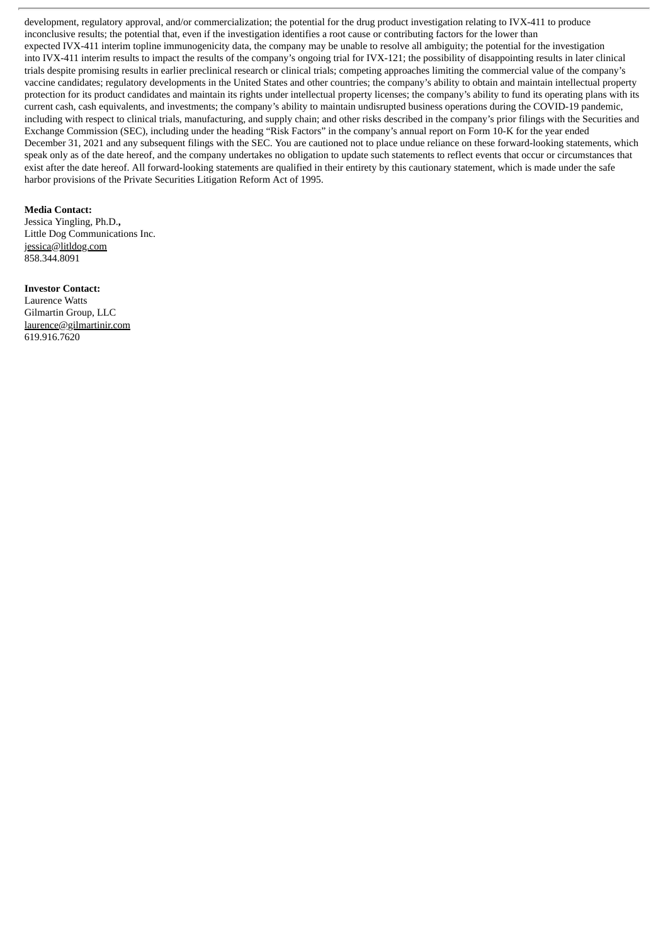development, regulatory approval, and/or commercialization; the potential for the drug product investigation relating to IVX-411 to produce inconclusive results; the potential that, even if the investigation identifies a root cause or contributing factors for the lower than expected IVX-411 interim topline immunogenicity data, the company may be unable to resolve all ambiguity; the potential for the investigation into IVX-411 interim results to impact the results of the company's ongoing trial for IVX-121; the possibility of disappointing results in later clinical trials despite promising results in earlier preclinical research or clinical trials; competing approaches limiting the commercial value of the company's vaccine candidates; regulatory developments in the United States and other countries; the company's ability to obtain and maintain intellectual property protection for its product candidates and maintain its rights under intellectual property licenses; the company's ability to fund its operating plans with its current cash, cash equivalents, and investments; the company's ability to maintain undisrupted business operations during the COVID-19 pandemic, including with respect to clinical trials, manufacturing, and supply chain; and other risks described in the company's prior filings with the Securities and Exchange Commission (SEC), including under the heading "Risk Factors" in the company's annual report on Form 10-K for the year ended December 31, 2021 and any subsequent filings with the SEC. You are cautioned not to place undue reliance on these forward-looking statements, which speak only as of the date hereof, and the company undertakes no obligation to update such statements to reflect events that occur or circumstances that exist after the date hereof. All forward-looking statements are qualified in their entirety by this cautionary statement, which is made under the safe harbor provisions of the Private Securities Litigation Reform Act of 1995.

#### **Media Contact:**

Jessica Yingling, Ph.D.**,** Little Dog Communications Inc. jessica@litldog.com 858.344.8091

#### **Investor Contact:**

Laurence Watts Gilmartin Group, LLC laurence@gilmartinir.com 619.916.7620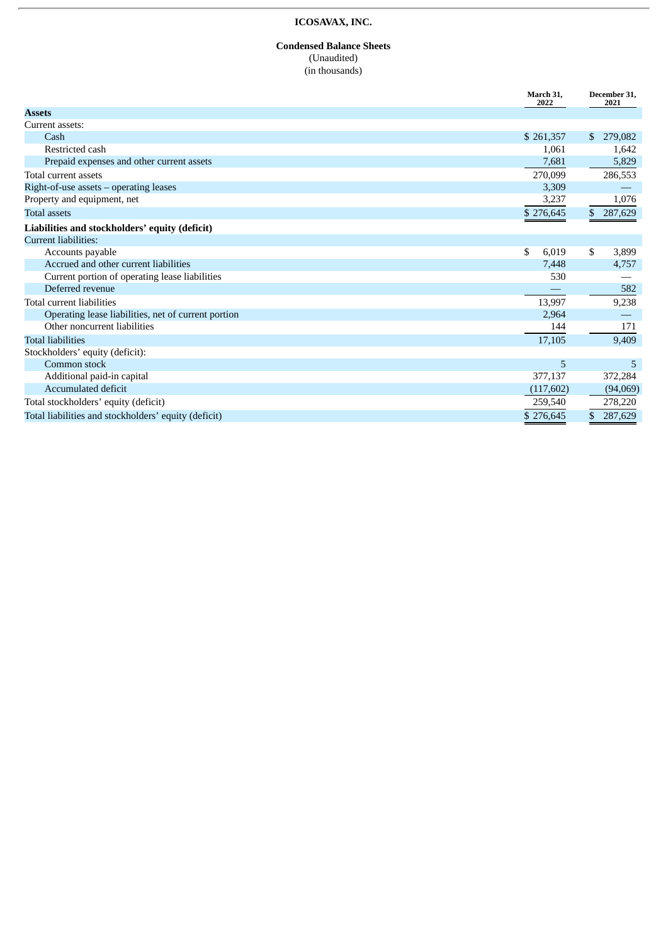## **ICOSAVAX, INC.**

#### **Condensed Balance Sheets** (Unaudited)

(in thousands)

|                                                      | March 31,<br>2022 | December 31,<br>2021 |
|------------------------------------------------------|-------------------|----------------------|
| <b>Assets</b>                                        |                   |                      |
| Current assets:                                      |                   |                      |
| Cash                                                 | \$261,357         | \$279,082            |
| Restricted cash                                      | 1.061             | 1,642                |
| Prepaid expenses and other current assets            | 7,681             | 5,829                |
| Total current assets                                 | 270,099           | 286,553              |
| Right-of-use assets – operating leases               | 3,309             |                      |
| Property and equipment, net                          | 3,237             | 1,076                |
| <b>Total assets</b>                                  | \$276,645         | \$ 287,629           |
| Liabilities and stockholders' equity (deficit)       |                   |                      |
| Current liabilities:                                 |                   |                      |
| Accounts payable                                     | \$<br>6.019       | \$<br>3,899          |
| Accrued and other current liabilities                | 7,448             | 4,757                |
| Current portion of operating lease liabilities       | 530               |                      |
| Deferred revenue                                     |                   | 582                  |
| Total current liabilities                            | 13,997            | 9,238                |
| Operating lease liabilities, net of current portion  | 2,964             |                      |
| Other noncurrent liabilities                         | 144               | 171                  |
| <b>Total liabilities</b>                             | 17,105            | 9,409                |
| Stockholders' equity (deficit):                      |                   |                      |
| Common stock                                         | 5                 | 5                    |
| Additional paid-in capital                           | 377,137           | 372,284              |
| Accumulated deficit                                  | (117, 602)        | (94,069)             |
| Total stockholders' equity (deficit)                 | 259,540           | 278,220              |
| Total liabilities and stockholders' equity (deficit) | \$276,645         | \$ 287,629           |